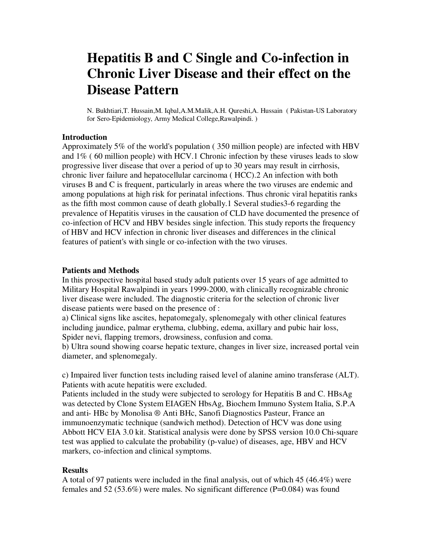# **Hepatitis B and C Single and Co-infection in Chronic Liver Disease and their effect on the Disease Pattern**

N. Bukhtiari,T. Hussain,M. Iqbal,A.M.Malik,A.H. Qureshi,A. Hussain ( Pakistan-US Laboratory for Sero-Epidemiology, Army Medical College,Rawalpindi. )

#### **Introduction**

Approximately 5% of the world's population ( 350 million people) are infected with HBV and 1% ( 60 million people) with HCV.1 Chronic infection by these viruses leads to slow progressive liver disease that over a period of up to 30 years may result in cirrhosis, chronic liver failure and hepatocellular carcinoma ( HCC).2 An infection with both viruses B and C is frequent, particularly in areas where the two viruses are endemic and among populations at high risk for perinatal infections. Thus chronic viral hepatitis ranks as the fifth most common cause of death globally.1 Several studies3-6 regarding the prevalence of Hepatitis viruses in the causation of CLD have documented the presence of co-infection of HCV and HBV besides single infection. This study reports the frequency of HBV and HCV infection in chronic liver diseases and differences in the clinical features of patient's with single or co-infection with the two viruses.

#### **Patients and Methods**

In this prospective hospital based study adult patients over 15 years of age admitted to Military Hospital Rawalpindi in years 1999-2000, with clinically recognizable chronic liver disease were included. The diagnostic criteria for the selection of chronic liver disease patients were based on the presence of :

a) Clinical signs like ascites, hepatomegaly, splenomegaly with other clinical features including jaundice, palmar erythema, clubbing, edema, axillary and pubic hair loss, Spider nevi, flapping tremors, drowsiness, confusion and coma.

b) Ultra sound showing coarse hepatic texture, changes in liver size, increased portal vein diameter, and splenomegaly.

c) Impaired liver function tests including raised level of alanine amino transferase (ALT). Patients with acute hepatitis were excluded.

Patients included in the study were subjected to serology for Hepatitis B and C. HBsAg was detected by Clone System EIAGEN HbsAg, Biochem Immuno System Italia, S.P.A and anti- HBc by Monolisa ® Anti BHc, Sanofi Diagnostics Pasteur, France an immunoenzymatic technique (sandwich method). Detection of HCV was done using Abbott HCV EIA 3.0 kit. Statistical analysis were done by SPSS version 10.0 Chi-square test was applied to calculate the probability (p-value) of diseases, age, HBV and HCV markers, co-infection and clinical symptoms.

### **Results**

A total of 97 patients were included in the final analysis, out of which 45 (46.4%) were females and 52 (53.6%) were males. No significant difference (P=0.084) was found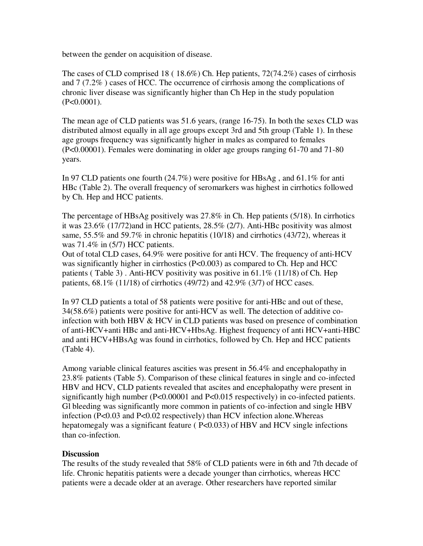between the gender on acquisition of disease.

The cases of CLD comprised 18 ( 18.6%) Ch. Hep patients, 72(74.2%) cases of cirrhosis and 7 (7.2% ) cases of HCC. The occurrence of cirrhosis among the complications of chronic liver disease was significantly higher than Ch Hep in the study population (P<0.0001).

The mean age of CLD patients was 51.6 years, (range 16-75). In both the sexes CLD was distributed almost equally in all age groups except 3rd and 5th group (Table 1). In these age groups frequency was significantly higher in males as compared to females (P<0.00001). Females were dominating in older age groups ranging 61-70 and 71-80 years.

In 97 CLD patients one fourth (24.7%) were positive for HBsAg , and 61.1% for anti HBc (Table 2). The overall frequency of seromarkers was highest in cirrhotics followed by Ch. Hep and HCC patients.

The percentage of HBsAg positively was 27.8% in Ch. Hep patients (5/18). In cirrhotics it was 23.6% (17/72)and in HCC patients, 28.5% (2/7). Anti-HBc positivity was almost same, 55.5% and 59.7% in chronic hepatitis (10/18) and cirrhotics (43/72), whereas it was 71.4% in (5/7) HCC patients.

Out of total CLD cases, 64.9% were positive for anti HCV. The frequency of anti-HCV was significantly higher in cirrhostics (P<0.003) as compared to Ch. Hep and HCC patients ( Table 3) . Anti-HCV positivity was positive in 61.1% (11/18) of Ch. Hep patients, 68.1% (11/18) of cirrhotics (49/72) and 42.9% (3/7) of HCC cases.

In 97 CLD patients a total of 58 patients were positive for anti-HBc and out of these, 34(58.6%) patients were positive for anti-HCV as well. The detection of additive coinfection with both HBV & HCV in CLD patients was based on presence of combination of anti-HCV+anti HBc and anti-HCV+HbsAg. Highest frequency of anti HCV+anti-HBC and anti HCV+HBsAg was found in cirrhotics, followed by Ch. Hep and HCC patients (Table 4).

Among variable clinical features ascities was present in 56.4% and encephalopathy in 23.8% patients (Table 5). Comparison of these clinical features in single and co-infected HBV and HCV, CLD patients revealed that ascites and encephalopathy were present in significantly high number (P<0.00001 and P<0.015 respectively) in co-infected patients. Gl bleeding was significantly more common in patients of co-infection and single HBV infection (P<0.03 and P<0.02 respectively) than HCV infection alone.Whereas hepatomegaly was a significant feature ( $P<0.033$ ) of HBV and HCV single infections than co-infection.

# **Discussion**

The results of the study revealed that 58% of CLD patients were in 6th and 7th decade of life. Chronic hepatitis patients were a decade younger than cirrhotics, whereas HCC patients were a decade older at an average. Other researchers have reported similar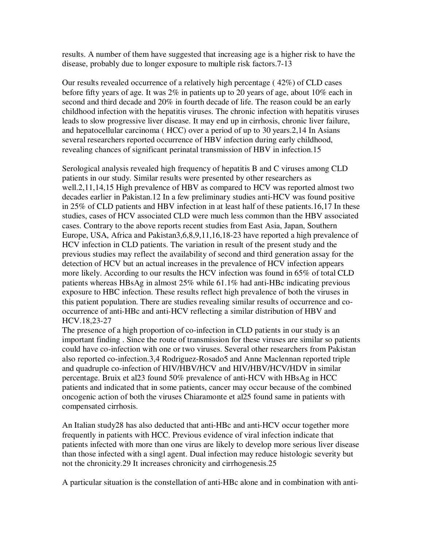results. A number of them have suggested that increasing age is a higher risk to have the disease, probably due to longer exposure to multiple risk factors.7-13

Our results revealed occurrence of a relatively high percentage ( 42%) of CLD cases before fifty years of age. It was 2% in patients up to 20 years of age, about 10% each in second and third decade and 20% in fourth decade of life. The reason could be an early childhood infection with the hepatitis viruses. The chronic infection with hepatitis viruses leads to slow progressive liver disease. It may end up in cirrhosis, chronic liver failure, and hepatocellular carcinoma ( HCC) over a period of up to 30 years.2,14 In Asians several researchers reported occurrence of HBV infection during early childhood, revealing chances of significant perinatal transmission of HBV in infection.15

Serological analysis revealed high frequency of hepatitis B and C viruses among CLD patients in our study. Similar results were presented by other researchers as well.2,11,14,15 High prevalence of HBV as compared to HCV was reported almost two decades earlier in Pakistan.12 In a few preliminary studies anti-HCV was found positive in 25% of CLD patients and HBV infection in at least half of these patients.16,17 In these studies, cases of HCV associated CLD were much less common than the HBV associated cases. Contrary to the above reports recent studies from East Asia, Japan, Southern Europe, USA, Africa and Pakistan3,6,8,9,11,16,18-23 have reported a high prevalence of HCV infection in CLD patients. The variation in result of the present study and the previous studies may reflect the availability of second and third generation assay for the detection of HCV but an actual increases in the prevalence of HCV infection appears more likely. According to our results the HCV infection was found in 65% of total CLD patients whereas HBsAg in almost 25% while 61.1% had anti-HBc indicating previous exposure to HBC infection. These results reflect high prevalence of both the viruses in this patient population. There are studies revealing similar results of occurrence and cooccurrence of anti-HBc and anti-HCV reflecting a similar distribution of HBV and HCV.18,23-27

The presence of a high proportion of co-infection in CLD patients in our study is an important finding . Since the route of transmission for these viruses are similar so patients could have co-infection with one or two viruses. Several other researchers from Pakistan also reported co-infection.3,4 Rodriguez-Rosado5 and Anne Maclennan reported triple and quadruple co-infection of HIV/HBV/HCV and HIV/HBV/HCV/HDV in similar percentage. Bruix et al23 found 50% prevalence of anti-HCV with HBsAg in HCC patients and indicated that in some patients, cancer may occur because of the combined oncogenic action of both the viruses Chiaramonte et al25 found same in patients with compensated cirrhosis.

An Italian study28 has also deducted that anti-HBc and anti-HCV occur together more frequently in patients with HCC. Previous evidence of viral infection indicate that patients infected with more than one virus are likely to develop more serious liver disease than those infected with a singl agent. Dual infection may reduce histologic severity but not the chronicity.29 It increases chronicity and cirrhogenesis.25

A particular situation is the constellation of anti-HBc alone and in combination with anti-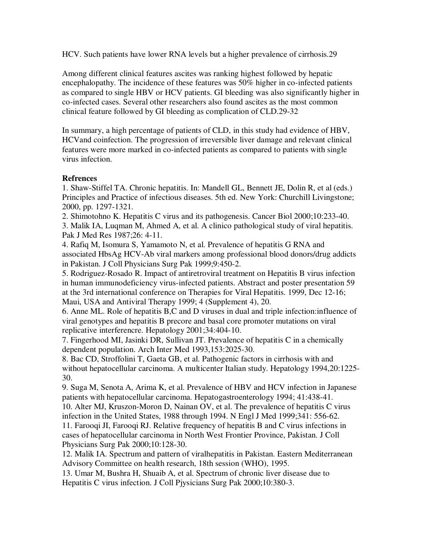HCV. Such patients have lower RNA levels but a higher prevalence of cirrhosis.29

Among different clinical features ascites was ranking highest followed by hepatic encephalopathy. The incidence of these features was 50% higher in co-infected patients as compared to single HBV or HCV patients. GI bleeding was also significantly higher in co-infected cases. Several other researchers also found ascites as the most common clinical feature followed by GI bleeding as complication of CLD.29-32

In summary, a high percentage of patients of CLD, in this study had evidence of HBV, HCVand coinfection. The progression of irreversible liver damage and relevant clinical features were more marked in co-infected patients as compared to patients with single virus infection.

## **Refrences**

1. Shaw-Stiffel TA. Chronic hepatitis. In: Mandell GL, Bennett JE, Dolin R, et al (eds.) Principles and Practice of infectious diseases. 5th ed. New York: Churchill Livingstone; 2000, pp. 1297-1321.

2. Shimotohno K. Hepatitis C virus and its pathogenesis. Cancer Biol 2000;10:233-40.

3. Malik IA, Luqman M, Ahmed A, et al. A clinico pathological study of viral hepatitis. Pak J Med Res 1987;26: 4-11.

4. Rafiq M, Isomura S, Yamamoto N, et al. Prevalence of hepatitis G RNA and associated HbsAg HCV-Ab viral markers among professional blood donors/drug addicts in Pakistan. J Coll Physicians Surg Pak 1999;9:450-2.

5. Rodriguez-Rosado R. Impact of antiretroviral treatment on Hepatitis B virus infection in human immunodeficiency virus-infected patients. Abstract and poster presentation 59 at the 3rd international conference on Therapies for Viral Hepatitis. 1999, Dec 12-16; Maui, USA and Antiviral Therapy 1999; 4 (Supplement 4), 20.

6. Anne ML. Role of hepatitis B,C and D viruses in dual and triple infection:influence of viral genotypes and hepatitis B precore and basal core promoter mutations on viral replicative interferencre. Hepatology 2001;34:404-10.

7. Fingerhood MI, Jasinki DR, Sullivan JT. Prevalence of hepatitis C in a chemically dependent population. Arch Inter Med 1993,153:2025-30.

8. Bac CD, Stroffolini T, Gaeta GB, et al. Pathogenic factors in cirrhosis with and without hepatocellular carcinoma. A multicenter Italian study. Hepatology 1994,20:1225- 30.

9. Suga M, Senota A, Arima K, et al. Prevalence of HBV and HCV infection in Japanese patients with hepatocellular carcinoma. Hepatogastroenterology 1994; 41:438-41. 10. Alter MJ, Kruszon-Moron D, Nainan OV, et al. The prevalence of hepatitis C virus infection in the United States, 1988 through 1994. N Engl J Med 1999;341: 556-62. 11. Farooqi JI, Farooqi RJ. Relative frequency of hepatitis B and C virus infections in

cases of hepatocellular carcinoma in North West Frontier Province, Pakistan. J Coll Physicians Surg Pak 2000;10:128-30.

12. Malik IA. Spectrum and pattern of viralhepatitis in Pakistan. Eastern Mediterranean Advisory Committee on health research, 18th session (WHO), 1995.

13. Umar M, Bushra H, Shuaib A, et al. Spectrum of chronic liver disease due to Hepatitis C virus infection. J Coll Pjysicians Surg Pak 2000;10:380-3.